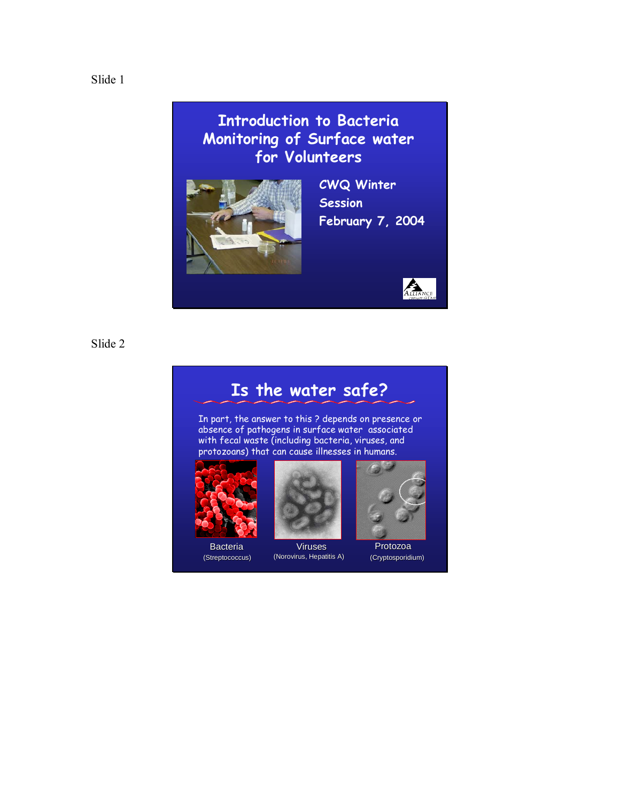**Introduction to Bacteria Monitoring of Surface water for Volunteers**



**CWQ Winter Session February 7, 2004**



Slide 2

## **Is the water safe?**

In part, the answer to this ? depends on presence or absence of pathogens in surface water associated with fecal waste (including bacteria, viruses, and protozoans) that can cause illnesses in humans.





Bacteria **Viruses** Protozoa (Streptococcus) (Norovirus, Hepatitis A) (Cryptosporidium)

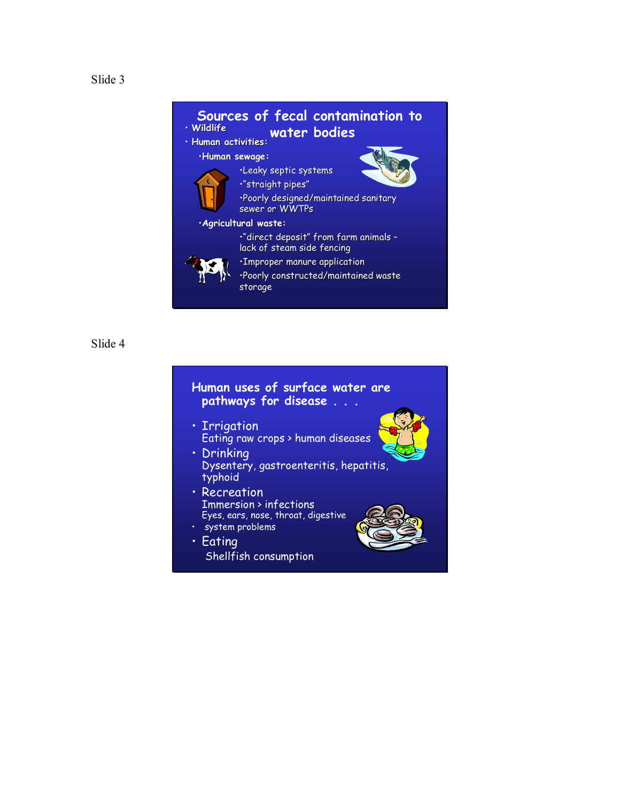

#### **Human uses of surface water are pathways for disease . . .**

- **· Irrigation** Eating raw crops > human diseases
- **·** Drinking Dysentery, gastroenteritis, hepatitis, typhoid
- **· Recreation** Immersion > infections Eyes, ears, nose, throat, digestive · system problems
- $\cdot$  Eating Shellfish consumption



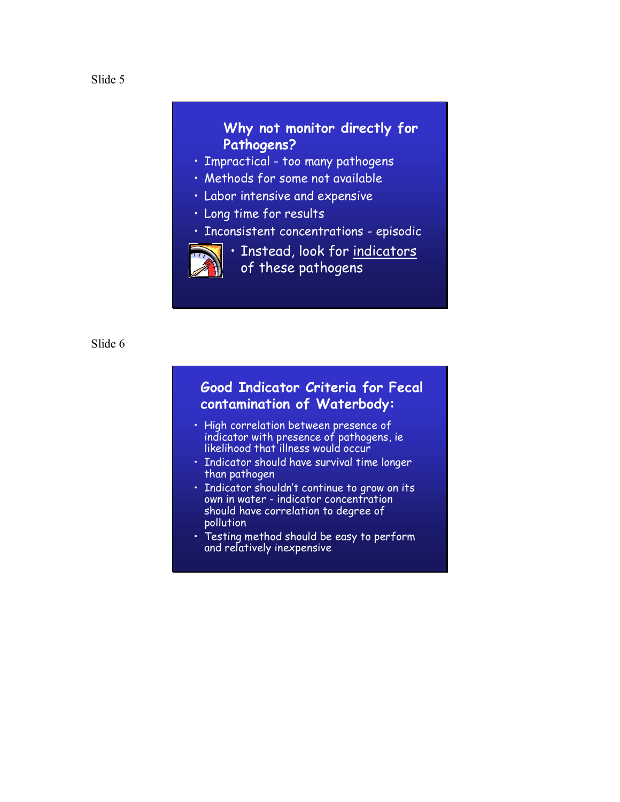## **Why not monitor directly for Pathogens?**

- **· Impractical too many pathogens**
- **· Methods for some not available**
- **· Labor intensive and expensive**
- $\cdot$  Long time for results
- · Inconsistent concentrations episodic



· Instead, look for indicators of these pathogens

Slide 6

## **Good Indicator Criteria for Fecal contamination of Waterbody:**

- **· High correlation between presence of** indicator with presence of pathogens, ie likelihood that illness would occur
- Indicator should have survival time longer than pathogen
- **· Indicator shouldn't continue to grow on its** own in water - indicator concentration should have correlation to degree of pollution
- **·** Testing method should be easy to perform and relatively inexpensive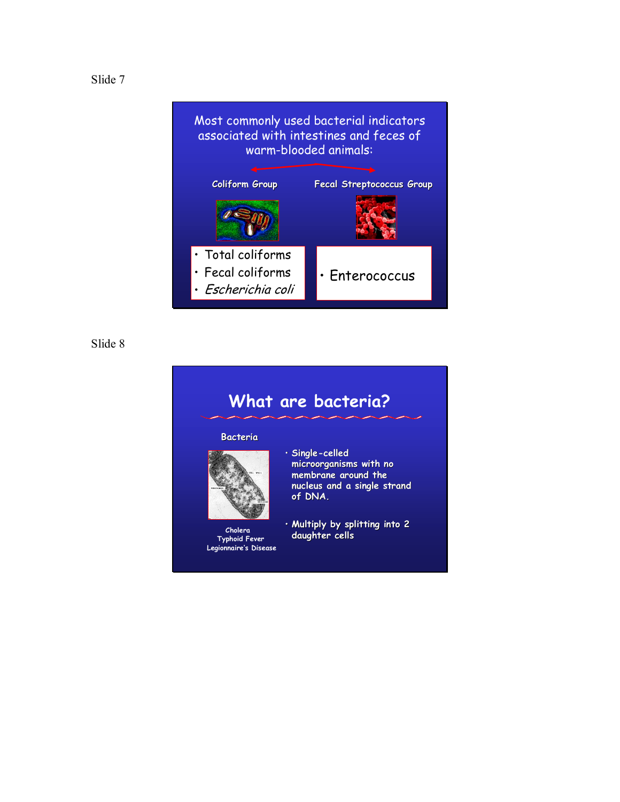

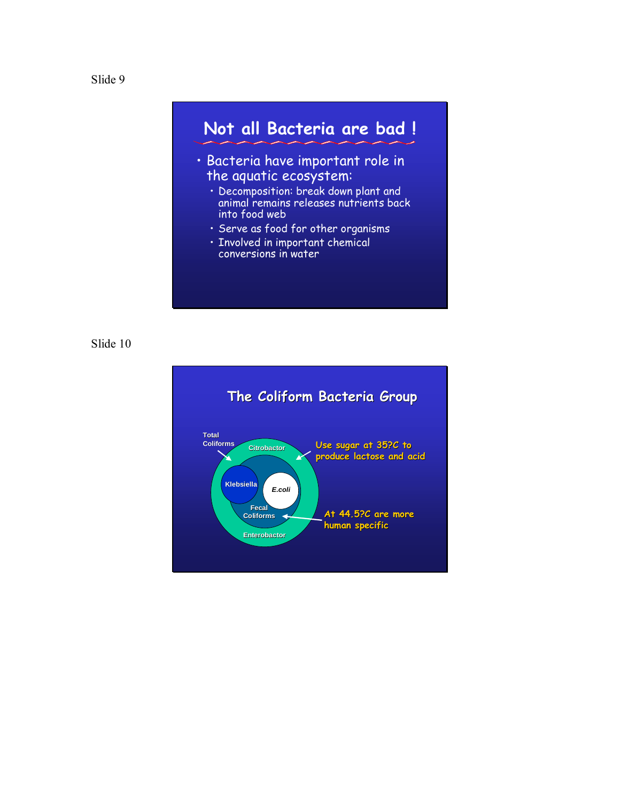



- · Decomposition: break down plant and animal remains releases nutrients back into food web
- · Serve as food for other organisms
- **· Involved in important chemical** conversions in water

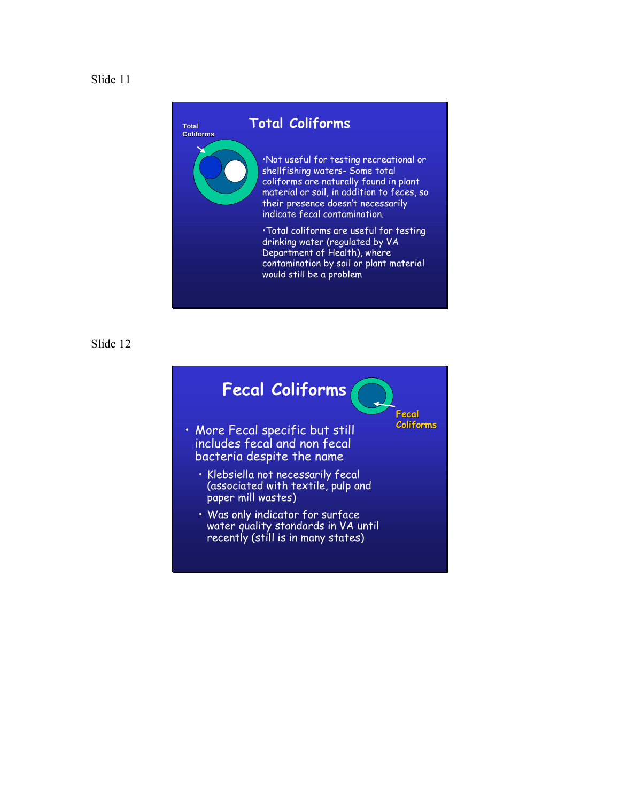



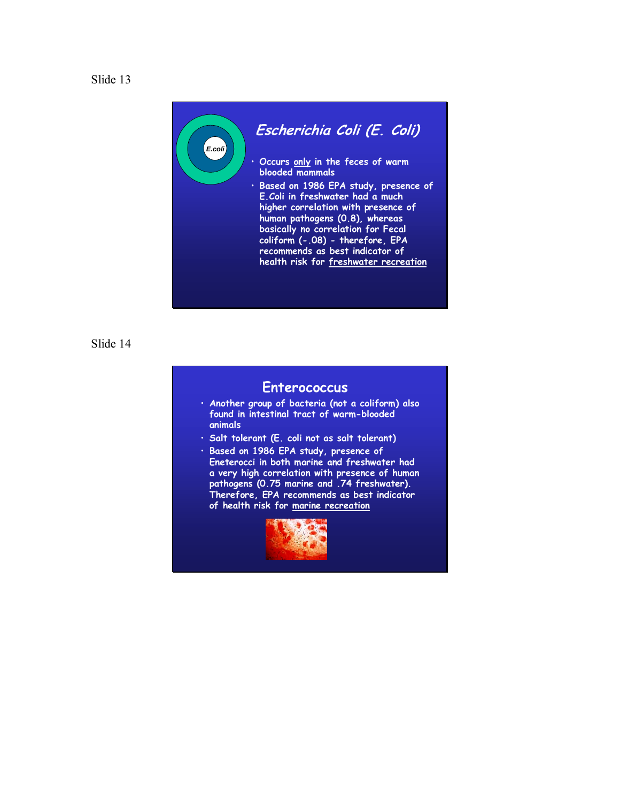



#### **Enterococcus**

- ï **Another group of bacteria (not a coliform) also found in intestinal tract of warm-blooded animals**
- ï **Salt tolerant (E. coli not as salt tolerant)**
- ï **Based on 1986 EPA study, presence of Eneterocci in both marine and freshwater had a very high correlation with presence of human pathogens (0.75 marine and .74 freshwater). Therefore, EPA recommends as best indicator of health risk for marine recreation**

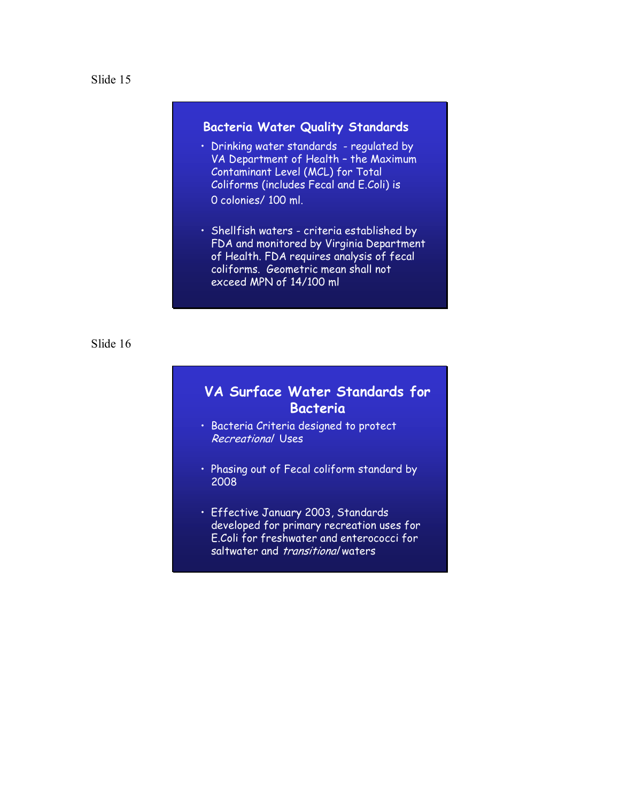### **Bacteria Water Quality Standards**

- Drinking water standards regulated by VA Department of Health - the Maximum Contaminant Level (MCL) for Total Coliforms (includes Fecal and E.Coli) is 0 colonies/ 100 ml.
- Shellfish waters criteria established by FDA and monitored by Virginia Department of Health. FDA requires analysis of fecal coliforms. Geometric mean shall not exceed MPN of 14/100 ml

#### Slide 16

## **VA Surface Water Standards for Bacteria**

- **· Bacteria Criteria designed to protect** Recreational Uses
- Phasing out of Fecal coliform standard by 2008
- **· Effective January 2003, Standards** developed for primary recreation uses for E.Coli for freshwater and enterococci for saltwater and *transitional* waters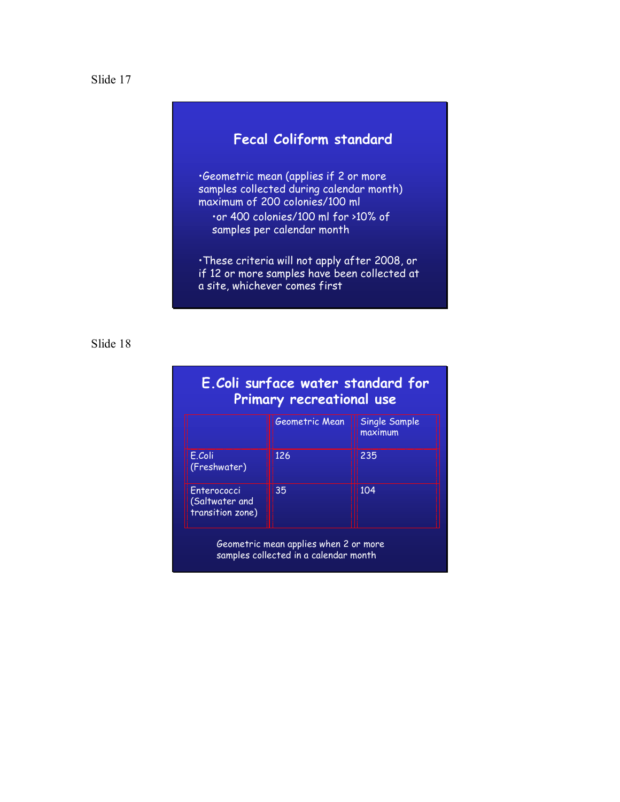



 $\cdot$ Geometric mean (applies if 2 or more samples collected during calendar month) maximum of 200 colonies/100 ml

ïor 400 colonies/100 ml for >10% of samples per calendar month

 $\cdot$ These criteria will not apply after 2008, or if 12 or more samples have been collected at a site, whichever comes first

#### Slide 18

| E.Coli surface water standard for<br>Primary recreational use |                |                          |  |
|---------------------------------------------------------------|----------------|--------------------------|--|
|                                                               | Geometric Mean | Single Sample<br>maximum |  |
| E.Coli<br>(Freshwater)                                        | 126            | 235                      |  |
| Enterococci<br>(Saltwater and<br>transition zone)             | 35             | 104                      |  |

Geometric mean applies when 2 or more samples collected in a calendar month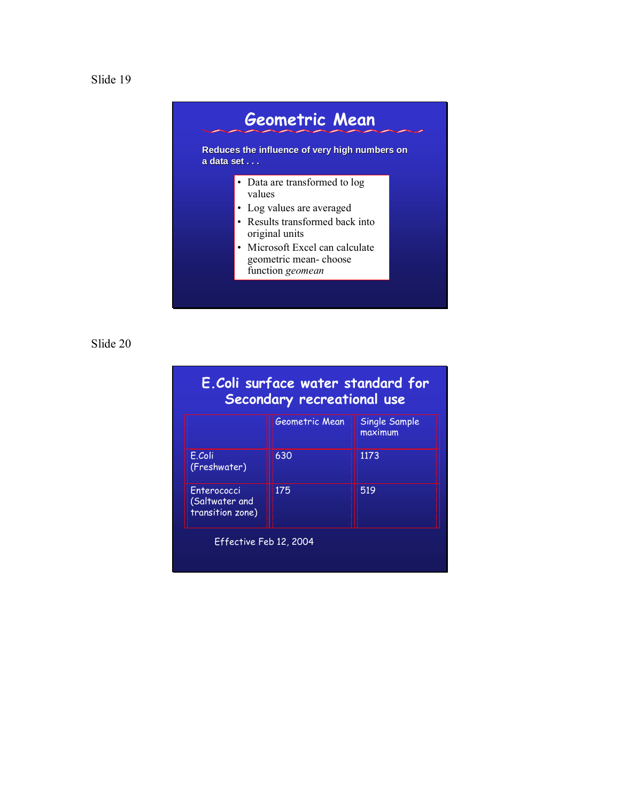



| E. Coli surface water standard for<br>Secondary recreational use |                |                          |  |
|------------------------------------------------------------------|----------------|--------------------------|--|
|                                                                  | Geometric Mean | Single Sample<br>maximum |  |
| E.Coli<br>(Freshwater)                                           | 630            | 1173                     |  |
| Enterococci<br>(Saltwater and<br>transition zone)                | 175            | 519                      |  |
| Effective Feb 12, 2004                                           |                |                          |  |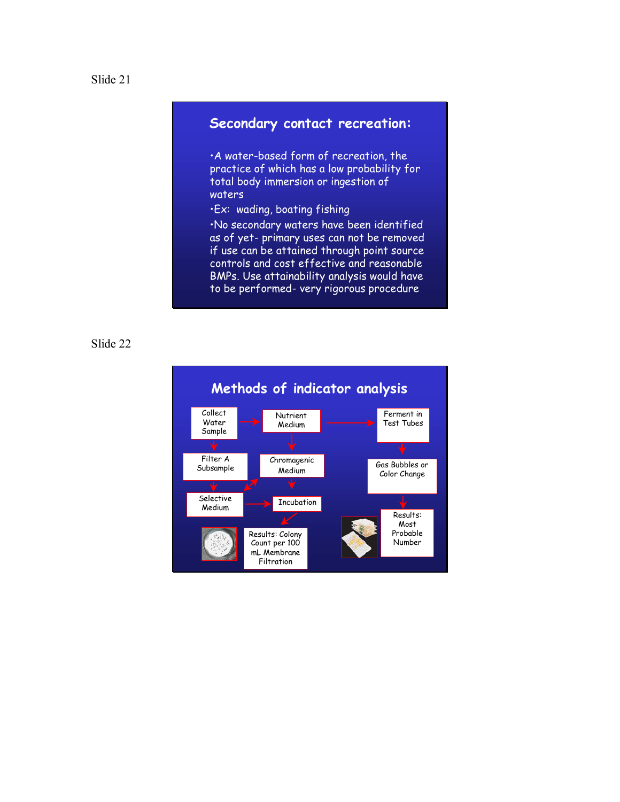## **Secondary contact recreation:**

**A** water-based form of recreation, the practice of which has a low probability for total body immersion or ingestion of waters

**·Ex:** wading, boating fishing

ïNo secondary waters have been identified as of yet- primary uses can not be removed if use can be attained through point source controls and cost effective and reasonable BMPs. Use attainability analysis would have to be performed- very rigorous procedure

#### Slide 22

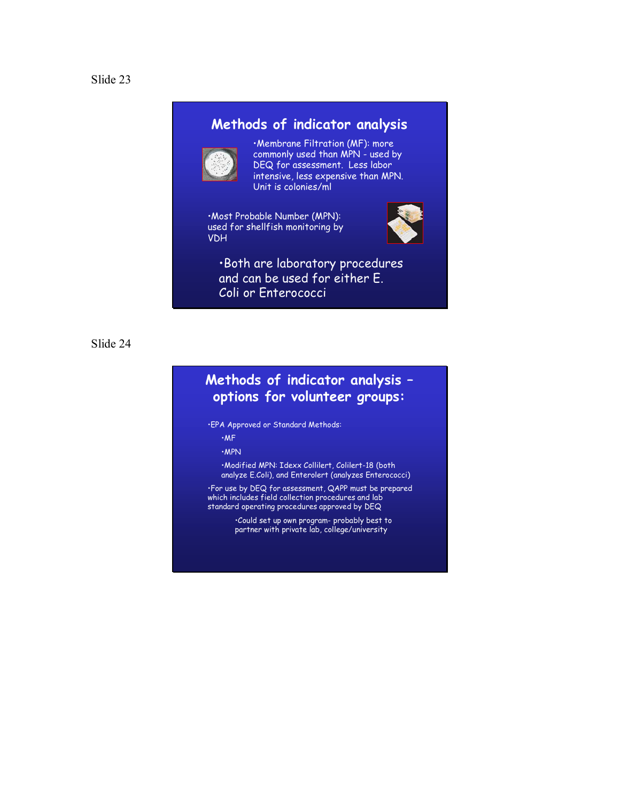## **Methods of indicator analysis**



**·Membrane Filtration (MF): more** commonly used than MPN - used by DEQ for assessment. Less labor intensive, less expensive than MPN. Unit is colonies/ml

·Most Probable Number (MPN): used for shellfish monitoring by VDH



· Both are laboratory procedures and can be used for either E. Coli or Enterococci

Slide 24

## **Methods of indicator analysis options for volunteer groups:**

ïEPA Approved or Standard Methods:

 $·MF$ 

ïMPN

ïModified MPN: Idexx Collilert, Colilert-18 (both analyze E.Coli), and Enterolert (analyzes Enterococci)

ïFor use by DEQ for assessment, QAPP must be prepared which includes field collection procedures and lab standard operating procedures approved by DEQ

> $\cdot$ Could set up own program- probably best to partner with private lab, college/university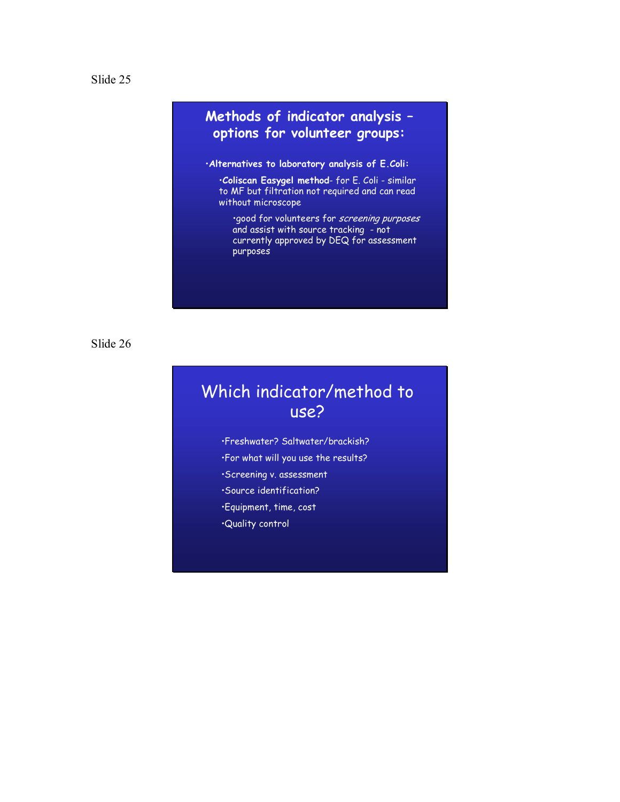## **Methods of indicator analysis options for volunteer groups:**

#### ï**Alternatives to laboratory analysis of E.Coli:**

ï**Coliscan Easygel method**- for E. Coli - similar to MF but filtration not required and can read without microscope

·good for volunteers for screening purposes and assist with source tracking - not currently approved by DEQ for assessment purposes

Slide 26

## Which indicator/method to use?

- ïFreshwater? Saltwater/brackish? •For what will you use the results? **Screening v. assessment** ·Source identification? ïEquipment, time, cost
- ïQuality control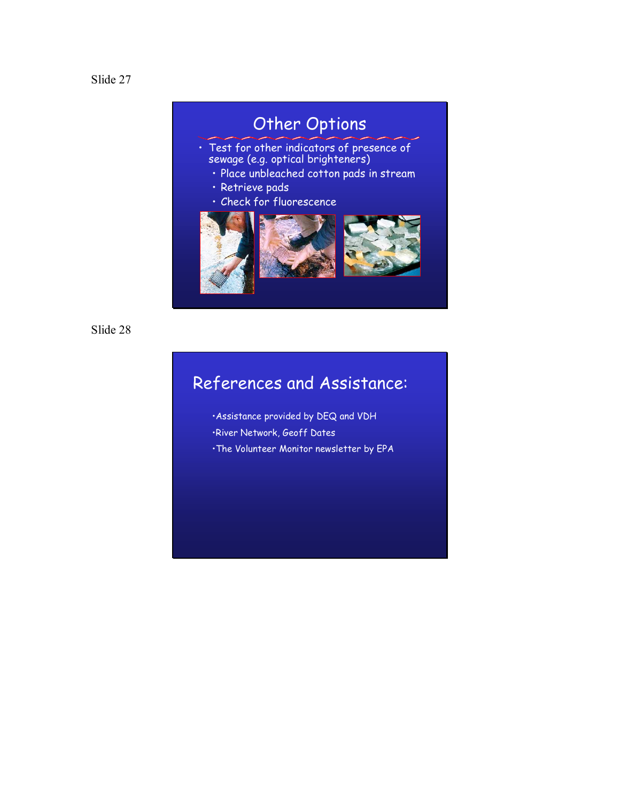

# Other Options

- $\cdot$  Test for other indicators of presence of sewage (e.g. optical brighteners)
	- · Place unbleached cotton pads in stream
	- · Retrieve pads
	- Check for fluorescence



Slide 28

# References and Assistance:

**Assistance provided by DEQ and VDH** ·River Network, Geoff Dates · The Volunteer Monitor newsletter by EPA